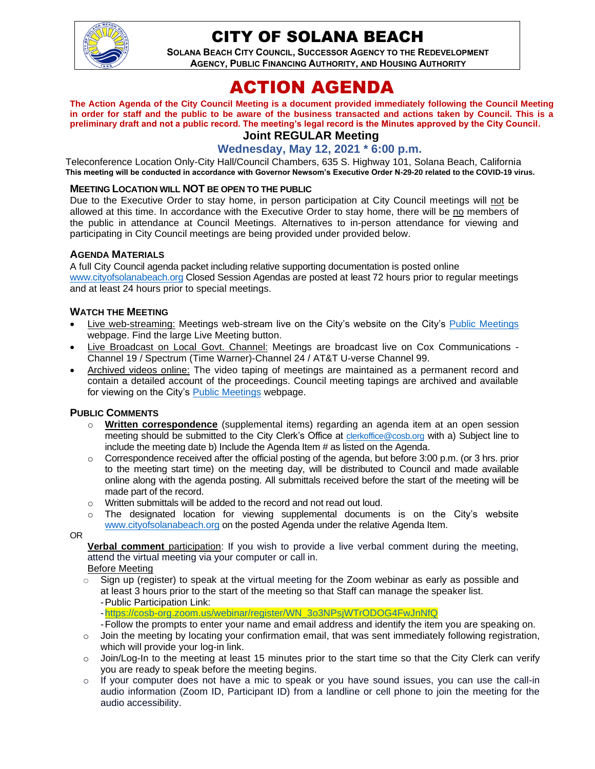

## CITY OF SOLANA BEACH

**SOLANA BEACH CITY COUNCIL, SUCCESSOR AGENCY TO THE REDEVELOPMENT AGENCY, PUBLIC FINANCING AUTHORITY, AND HOUSING AUTHORITY** 

# ACTION AGENDA

**The Action Agenda of the City Council Meeting is a document provided immediately following the Council Meeting in order for staff and the public to be aware of the business transacted and actions taken by Council. This is a preliminary draft and not a public record. The meeting's legal record is the Minutes approved by the City Council.**

## **Joint REGULAR Meeting**

**Wednesday, May 12, 2021 \* 6:00 p.m.**

Teleconference Location Only-City Hall/Council Chambers, 635 S. Highway 101, Solana Beach, California **This meeting will be conducted in accordance with Governor Newsom's Executive Order N-29-20 related to the COVID-19 virus.**

#### **MEETING LOCATION WILL NOT BE OPEN TO THE PUBLIC**

Due to the Executive Order to stay home, in person participation at City Council meetings will not be allowed at this time. In accordance with the Executive Order to stay home, there will be no members of the public in attendance at Council Meetings. Alternatives to in-person attendance for viewing and participating in City Council meetings are being provided under provided below.

#### **AGENDA MATERIALS**

A full City Council agenda packet including relative supporting documentation is posted online [www.cityofsolanabeach.org](http://www.cityofsolanabeach.org/) Closed Session Agendas are posted at least 72 hours prior to regular meetings and at least 24 hours prior to special meetings.

#### **WATCH THE MEETING**

- Live web-streaming: Meetings web-stream live on the City's website on the City's [Public Meetings](https://urldefense.proofpoint.com/v2/url?u=https-3A__www.ci.solana-2Dbeach.ca.us_index.asp-3FSEC-3DF0F1200D-2D21C6-2D4A88-2D8AE1-2D0BC07C1A81A7-26Type-3DB-5FBASIC&d=DwMFAg&c=euGZstcaTDllvimEN8b7jXrwqOf-v5A_CdpgnVfiiMM&r=1XAsCUuqwK_tji2t0s1uIQ&m=wny2RVfZJ2tN24LkqZmkUWNpwL_peNtTZUBlTBZiMM4&s=WwpcEQpHHkFen6nS6q2waMuQ_VMZ-i1YZ60lD-dYRRE&e=) webpage. Find the large Live Meeting button.
- Live Broadcast on Local Govt. Channel: Meetings are broadcast live on Cox Communications Channel 19 / Spectrum (Time Warner)-Channel 24 / AT&T U-verse Channel 99.
- Archived videos online: The video taping of meetings are maintained as a permanent record and contain a detailed account of the proceedings. Council meeting tapings are archived and available for viewing on the City's [Public Meetings](https://urldefense.proofpoint.com/v2/url?u=https-3A__www.ci.solana-2Dbeach.ca.us_index.asp-3FSEC-3DF0F1200D-2D21C6-2D4A88-2D8AE1-2D0BC07C1A81A7-26Type-3DB-5FBASIC&d=DwMFAg&c=euGZstcaTDllvimEN8b7jXrwqOf-v5A_CdpgnVfiiMM&r=1XAsCUuqwK_tji2t0s1uIQ&m=wny2RVfZJ2tN24LkqZmkUWNpwL_peNtTZUBlTBZiMM4&s=WwpcEQpHHkFen6nS6q2waMuQ_VMZ-i1YZ60lD-dYRRE&e=) webpage.

#### **PUBLIC COMMENTS**

- o **Written correspondence** (supplemental items) regarding an agenda item at an open session meeting should be submitted to the City Clerk's Office at [clerkoffice@cosb.org](mailto:clerkoffice@cosb.org) with a) Subject line to include the meeting date b) Include the Agenda Item # as listed on the Agenda.
- $\circ$  Correspondence received after the official posting of the agenda, but before 3:00 p.m. (or 3 hrs. prior to the meeting start time) on the meeting day, will be distributed to Council and made available online along with the agenda posting. All submittals received before the start of the meeting will be made part of the record.
- o Written submittals will be added to the record and not read out loud.
- $\circ$  The designated location for viewing supplemental documents is on the City's website [www.cityofsolanabeach.org](http://www.cityofsolanabeach.org/) on the posted Agenda under the relative Agenda Item.

OR

**Verbal comment** participation: If you wish to provide a live verbal comment during the meeting, attend the virtual meeting via your computer or call in.

Before Meeting

 $\circ$  Sign up (register) to speak at the virtual meeting for the Zoom webinar as early as possible and at least 3 hours prior to the start of the meeting so that Staff can manage the speaker list. -Public Participation Link:

[-https://cosb-org.zoom.us/webinar/register/WN\\_3o3NPsjWTrODOG4FwJnNfQ](https://cosb-org.zoom.us/webinar/register/WN_3o3NPsjWTrODOG4FwJnNfQ)

-Follow the prompts to enter your name and email address and identify the item you are speaking on.

- $\circ$  Join the meeting by locating your confirmation email, that was sent immediately following registration, which will provide your log-in link.
- $\circ$  Join/Log-In to the meeting at least 15 minutes prior to the start time so that the City Clerk can verify you are ready to speak before the meeting begins.
- $\circ$  If your computer does not have a mic to speak or you have sound issues, you can use the call-in audio information (Zoom ID, Participant ID) from a landline or cell phone to join the meeting for the audio accessibility.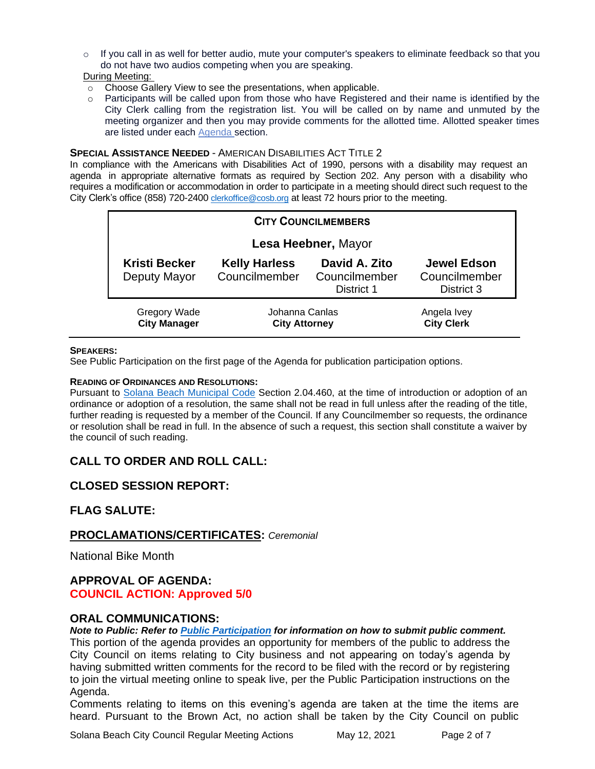$\circ$  If you call in as well for better audio, mute your computer's speakers to eliminate feedback so that you do not have two audios competing when you are speaking.

During Meeting:

- o Choose Gallery View to see the presentations, when applicable.
- $\circ$  Participants will be called upon from those who have Registered and their name is identified by the City Clerk calling from the registration list. You will be called on by name and unmuted by the meeting organizer and then you may provide comments for the allotted time. Allotted speaker times are listed under each [Agenda s](https://urldefense.proofpoint.com/v2/url?u=https-3A__www.ci.solana-2Dbeach.ca.us_index.asp-3FSEC-3DF0F1200D-2D21C6-2D4A88-2D8AE1-2D0BC07C1A81A7-26Type-3DB-5FBASIC&d=DwMFaQ&c=euGZstcaTDllvimEN8b7jXrwqOf-v5A_CdpgnVfiiMM&r=1XAsCUuqwK_tji2t0s1uIQ&m=C7WzXfOw2_nkEFMJClT55zZsF4tmIf_7KTn0o1WpYqI&s=3DcsWExM2_nx_xpvFtXslUjphiXd0MDCCF18y_Qy5yU&e=)ection.

#### **SPECIAL ASSISTANCE NEEDED - AMERICAN DISABILITIES ACT TITLE 2**

In compliance with the Americans with Disabilities Act of 1990, persons with a disability may request an agenda in appropriate alternative formats as required by Section 202. Any person with a disability who requires a modification or accommodation in order to participate in a meeting should direct such request to the City Clerk's office (858) 720-2400 [clerkoffice@cosb.org](mailto:EMAILGRP-CityClerksOfc@cosb.org) at least 72 hours prior to the meeting.

| <b>CITY COUNCILMEMBERS</b>                 |                                        |                                              |                                                   |
|--------------------------------------------|----------------------------------------|----------------------------------------------|---------------------------------------------------|
| Lesa Heebner, Mayor                        |                                        |                                              |                                                   |
| <b>Kristi Becker</b><br>Deputy Mayor       | <b>Kelly Harless</b><br>Councilmember  | David A. Zito<br>Councilmember<br>District 1 | <b>Jewel Edson</b><br>Councilmember<br>District 3 |
| <b>Gregory Wade</b><br><b>City Manager</b> | Johanna Canlas<br><b>City Attorney</b> |                                              | Angela Ivey<br><b>City Clerk</b>                  |

#### **SPEAKERS:**

See Public Participation on the first page of the Agenda for publication participation options.

#### **READING OF ORDINANCES AND RESOLUTIONS:**

Pursuant to [Solana Beach Municipal Code](https://www.codepublishing.com/CA/SolanaBeach/) Section 2.04.460, at the time of introduction or adoption of an ordinance or adoption of a resolution, the same shall not be read in full unless after the reading of the title, further reading is requested by a member of the Council. If any Councilmember so requests, the ordinance or resolution shall be read in full. In the absence of such a request, this section shall constitute a waiver by the council of such reading.

## **CALL TO ORDER AND ROLL CALL:**

#### **CLOSED SESSION REPORT:**

#### **FLAG SALUTE:**

#### **PROCLAMATIONS/CERTIFICATES:** *Ceremonial*

National Bike Month

#### **APPROVAL OF AGENDA: COUNCIL ACTION: Approved 5/0**

#### **ORAL COMMUNICATIONS:**

*Note to Public: Refer to Public Participation for information on how to submit public comment.*  This portion of the agenda provides an opportunity for members of the public to address the City Council on items relating to City business and not appearing on today's agenda by having submitted written comments for the record to be filed with the record or by registering to join the virtual meeting online to speak live, per the Public Participation instructions on the Agenda.

Comments relating to items on this evening's agenda are taken at the time the items are heard. Pursuant to the Brown Act, no action shall be taken by the City Council on public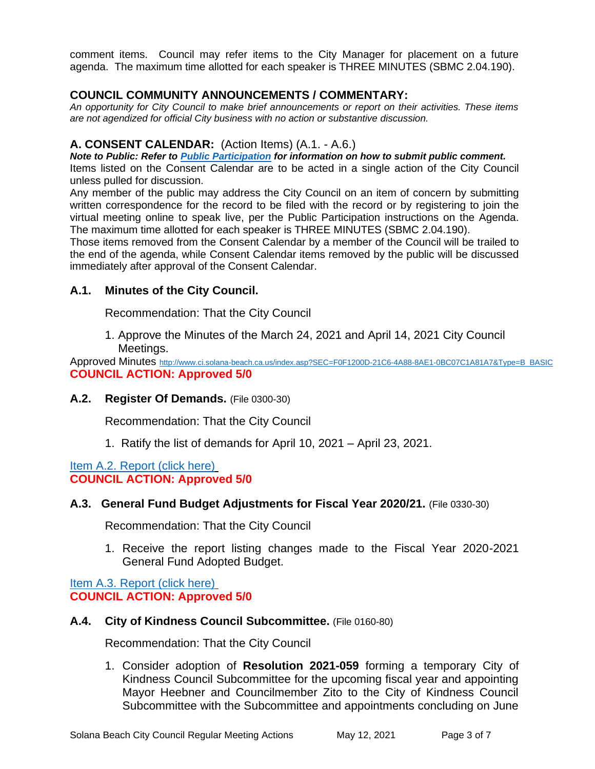comment items. Council may refer items to the City Manager for placement on a future agenda. The maximum time allotted for each speaker is THREE MINUTES (SBMC 2.04.190).

## **COUNCIL COMMUNITY ANNOUNCEMENTS / COMMENTARY:**

*An opportunity for City Council to make brief announcements or report on their activities. These items are not agendized for official City business with no action or substantive discussion.* 

### **A. CONSENT CALENDAR:** (Action Items) (A.1. - A.6.)

*Note to Public: Refer to Public Participation for information on how to submit public comment.* 

Items listed on the Consent Calendar are to be acted in a single action of the City Council unless pulled for discussion.

Any member of the public may address the City Council on an item of concern by submitting written correspondence for the record to be filed with the record or by registering to join the virtual meeting online to speak live, per the Public Participation instructions on the Agenda. The maximum time allotted for each speaker is THREE MINUTES (SBMC 2.04.190).

Those items removed from the Consent Calendar by a member of the Council will be trailed to the end of the agenda, while Consent Calendar items removed by the public will be discussed immediately after approval of the Consent Calendar.

## **A.1. Minutes of the City Council.**

Recommendation: That the City Council

1. Approve the Minutes of the March 24, 2021 and April 14, 2021 City Council Meetings.

Approved Minutes [http://www.ci.solana-beach.ca.us/index.asp?SEC=F0F1200D-21C6-4A88-8AE1-0BC07C1A81A7&Type=B\\_BASIC](http://www.ci.solana-beach.ca.us/index.asp?SEC=F0F1200D-21C6-4A88-8AE1-0BC07C1A81A7&Type=B_BASIC) **COUNCIL ACTION: Approved 5/0**

#### **A.2. Register Of Demands.** (File 0300-30)

Recommendation: That the City Council

1. Ratify the list of demands for April 10, 2021 – April 23, 2021.

#### [Item A.2. Report \(click here\)](https://solanabeach.govoffice3.com/vertical/Sites/%7B840804C2-F869-4904-9AE3-720581350CE7%7D/uploads/Item_A.2._Report_(click_here)_-_5-12-21_O.pdf) **COUNCIL ACTION: Approved 5/0**

#### **A.3. General Fund Budget Adjustments for Fiscal Year 2020/21.** (File 0330-30)

Recommendation: That the City Council

1. Receive the report listing changes made to the Fiscal Year 2020-2021 General Fund Adopted Budget.

[Item A.3. Report \(click here\)](https://solanabeach.govoffice3.com/vertical/Sites/%7B840804C2-F869-4904-9AE3-720581350CE7%7D/uploads/Item_A.3._Report_(click_here)_-_5-12-21_O.pdf) **COUNCIL ACTION: Approved 5/0**

#### **A.4. City of Kindness Council Subcommittee.** (File 0160-80)

Recommendation: That the City Council

1. Consider adoption of **Resolution 2021-059** forming a temporary City of Kindness Council Subcommittee for the upcoming fiscal year and appointing Mayor Heebner and Councilmember Zito to the City of Kindness Council Subcommittee with the Subcommittee and appointments concluding on June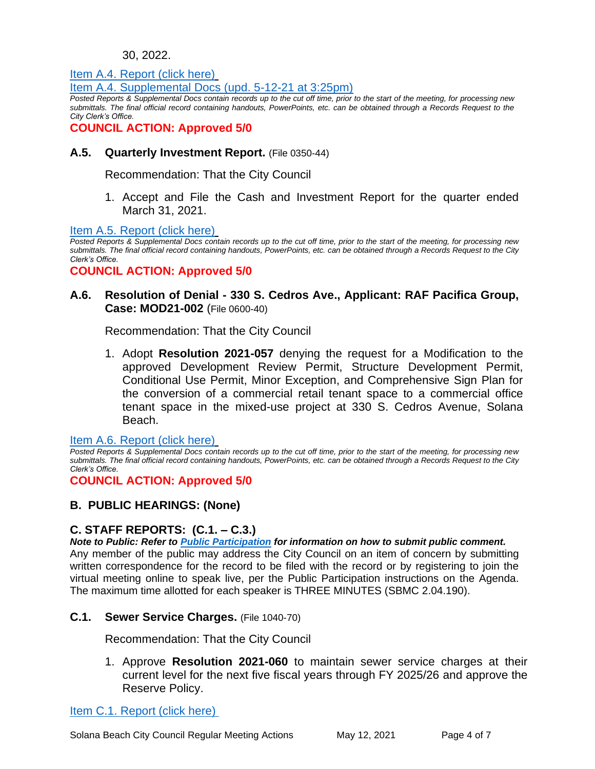#### 30, 2022.

[Item A.4. Report \(click here\)](https://solanabeach.govoffice3.com/vertical/Sites/%7B840804C2-F869-4904-9AE3-720581350CE7%7D/uploads/Item_A.4._Report_(click_here)_-_5-12-21_O.pdf)

[Item A.4. Supplemental Docs \(upd. 5-12-21 at 3:25pm\)](https://solanabeach.govoffice3.com/vertical/Sites/%7B840804C2-F869-4904-9AE3-720581350CE7%7D/uploads/Item_A.4._Supplemental_Docs_(upd._5-12-21_at_325pm)_-_O.pdf)

*Posted Reports & Supplemental Docs contain records up to the cut off time, prior to the start of the meeting, for processing new submittals. The final official record containing handouts, PowerPoints, etc. can be obtained through a Records Request to the City Clerk's Office.*

**COUNCIL ACTION: Approved 5/0**

**A.5. Quarterly Investment Report.** (File 0350-44)

Recommendation: That the City Council

1. Accept and File the Cash and Investment Report for the quarter ended March 31, 2021.

[Item A.5. Report \(click here\)](https://solanabeach.govoffice3.com/vertical/Sites/%7B840804C2-F869-4904-9AE3-720581350CE7%7D/uploads/Item_A.5._Report_(click_here)_-_5-12-21_O.pdf)

*Posted Reports & Supplemental Docs contain records up to the cut off time, prior to the start of the meeting, for processing new submittals. The final official record containing handouts, PowerPoints, etc. can be obtained through a Records Request to the City Clerk's Office.*

**COUNCIL ACTION: Approved 5/0**

### **A.6. Resolution of Denial - 330 S. Cedros Ave., Applicant: RAF Pacifica Group, Case: MOD21-002** (File 0600-40)

Recommendation: That the City Council

1. Adopt **Resolution 2021-057** denying the request for a Modification to the approved Development Review Permit, Structure Development Permit, Conditional Use Permit, Minor Exception, and Comprehensive Sign Plan for the conversion of a commercial retail tenant space to a commercial office tenant space in the mixed-use project at 330 S. Cedros Avenue, Solana Beach.

[Item A.6. Report \(click here\)](https://solanabeach.govoffice3.com/vertical/Sites/%7B840804C2-F869-4904-9AE3-720581350CE7%7D/uploads/Item_A.6._Report_(click_here)_-_5-12-21_O.pdf)

*Posted Reports & Supplemental Docs contain records up to the cut off time, prior to the start of the meeting, for processing new submittals. The final official record containing handouts, PowerPoints, etc. can be obtained through a Records Request to the City Clerk's Office.*

**COUNCIL ACTION: Approved 5/0**

## **B. PUBLIC HEARINGS: (None)**

## **C. STAFF REPORTS: (C.1. – C.3.)**

*Note to Public: Refer to Public Participation for information on how to submit public comment.*  Any member of the public may address the City Council on an item of concern by submitting written correspondence for the record to be filed with the record or by registering to join the virtual meeting online to speak live, per the Public Participation instructions on the Agenda. The maximum time allotted for each speaker is THREE MINUTES (SBMC 2.04.190).

## **C.1. Sewer Service Charges.** (File 1040-70)

Recommendation: That the City Council

1. Approve **Resolution 2021-060** to maintain sewer service charges at their current level for the next five fiscal years through FY 2025/26 and approve the Reserve Policy.

[Item C.1. Report \(click here\)](https://solanabeach.govoffice3.com/vertical/Sites/%7B840804C2-F869-4904-9AE3-720581350CE7%7D/uploads/Item_C.1._Report_(click_here)_-_5-12-21_O.pdf)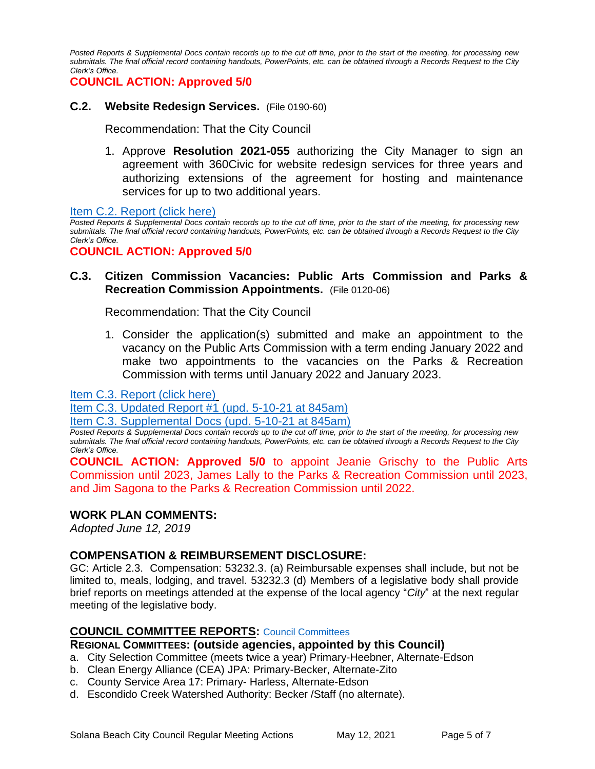*Posted Reports & Supplemental Docs contain records up to the cut off time, prior to the start of the meeting, for processing new submittals. The final official record containing handouts, PowerPoints, etc. can be obtained through a Records Request to the City Clerk's Office.*

**COUNCIL ACTION: Approved 5/0**

#### **C.2. Website Redesign Services.** (File 0190-60)

Recommendation: That the City Council

1. Approve **Resolution 2021-055** authorizing the City Manager to sign an agreement with 360Civic for website redesign services for three years and authorizing extensions of the agreement for hosting and maintenance services for up to two additional years.

[Item C.2. Report \(click here\)](https://solanabeach.govoffice3.com/vertical/Sites/%7B840804C2-F869-4904-9AE3-720581350CE7%7D/uploads/Item_C.2._Report_(click_here)_-_5-12-21_O.pdf)

*Posted Reports & Supplemental Docs contain records up to the cut off time, prior to the start of the meeting, for processing new submittals. The final official record containing handouts, PowerPoints, etc. can be obtained through a Records Request to the City Clerk's Office.*

**COUNCIL ACTION: Approved 5/0**

### **C.3. Citizen Commission Vacancies: Public Arts Commission and Parks & Recreation Commission Appointments.** (File 0120-06)

Recommendation: That the City Council

1. Consider the application(s) submitted and make an appointment to the vacancy on the Public Arts Commission with a term ending January 2022 and make two appointments to the vacancies on the Parks & Recreation Commission with terms until January 2022 and January 2023.

[Item C.3. Report \(click here\)](https://solanabeach.govoffice3.com/vertical/Sites/%7B840804C2-F869-4904-9AE3-720581350CE7%7D/uploads/Item_C.3._Report_(click_here)_-_5-12-21_O.pdf)

[Item C.3. Updated Report #1 \(upd. 5-10-21 at 845am\)](https://solanabeach.govoffice3.com/vertical/Sites/%7B840804C2-F869-4904-9AE3-720581350CE7%7D/uploads/Item_C.3._Updated_Report_1_-_O.pdf)

[Item C.3. Supplemental Docs \(upd. 5-10-21 at 845am\)](https://solanabeach.govoffice3.com/vertical/Sites/%7B840804C2-F869-4904-9AE3-720581350CE7%7D/uploads/Item_C.3._Supplemental_Docs_(5-9-21)_-_O.pdf)

*Posted Reports & Supplemental Docs contain records up to the cut off time, prior to the start of the meeting, for processing new submittals. The final official record containing handouts, PowerPoints, etc. can be obtained through a Records Request to the City Clerk's Office.*

**COUNCIL ACTION: Approved 5/0** to appoint Jeanie Grischy to the Public Arts Commission until 2023, James Lally to the Parks & Recreation Commission until 2023, and Jim Sagona to the Parks & Recreation Commission until 2022.

#### **WORK PLAN COMMENTS:**

*Adopted June 12, 2019*

#### **COMPENSATION & REIMBURSEMENT DISCLOSURE:**

GC: Article 2.3. Compensation: 53232.3. (a) Reimbursable expenses shall include, but not be limited to, meals, lodging, and travel. 53232.3 (d) Members of a legislative body shall provide brief reports on meetings attended at the expense of the local agency "*City*" at the next regular meeting of the legislative body.

#### **COUNCIL COMMITTEE REPORTS:** Council [Committees](https://www.ci.solana-beach.ca.us/index.asp?SEC=584E1192-3850-46EA-B977-088AC3E81E0D&Type=B_BASIC)

#### **REGIONAL COMMITTEES: (outside agencies, appointed by this Council)**

- a. City Selection Committee (meets twice a year) Primary-Heebner, Alternate-Edson
- b. Clean Energy Alliance (CEA) JPA: Primary-Becker, Alternate-Zito
- c. County Service Area 17: Primary- Harless, Alternate-Edson
- d. Escondido Creek Watershed Authority: Becker /Staff (no alternate).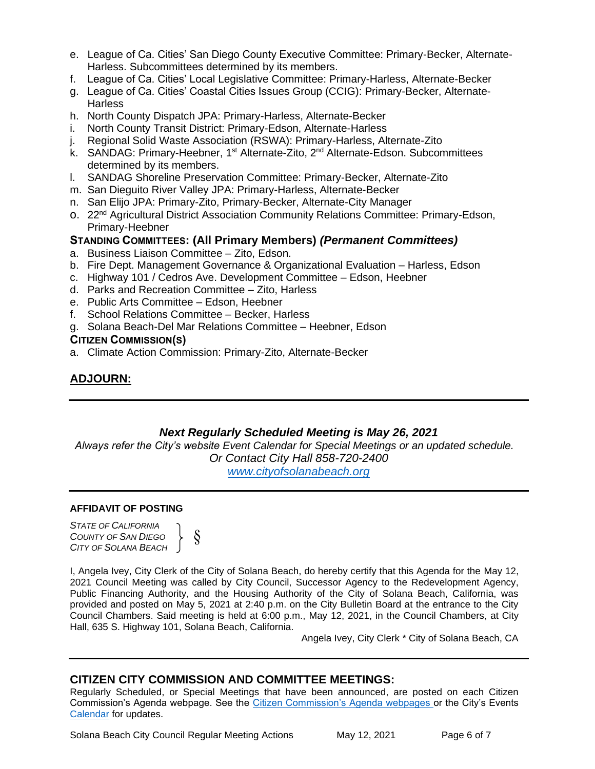- e. League of Ca. Cities' San Diego County Executive Committee: Primary-Becker, Alternate-Harless. Subcommittees determined by its members.
- f. League of Ca. Cities' Local Legislative Committee: Primary-Harless, Alternate-Becker
- g. League of Ca. Cities' Coastal Cities Issues Group (CCIG): Primary-Becker, Alternate-**Harless**
- h. North County Dispatch JPA: Primary-Harless, Alternate-Becker
- i. North County Transit District: Primary-Edson, Alternate-Harless
- j. Regional Solid Waste Association (RSWA): Primary-Harless, Alternate-Zito
- k. SANDAG: Primary-Heebner, 1<sup>st</sup> Alternate-Zito, 2<sup>nd</sup> Alternate-Edson. Subcommittees determined by its members.
- l. SANDAG Shoreline Preservation Committee: Primary-Becker, Alternate-Zito
- m. San Dieguito River Valley JPA: Primary-Harless, Alternate-Becker
- n. San Elijo JPA: Primary-Zito, Primary-Becker, Alternate-City Manager
- o. 22<sup>nd</sup> Agricultural District Association Community Relations Committee: Primary-Edson, Primary-Heebner

#### **STANDING COMMITTEES: (All Primary Members)** *(Permanent Committees)*

- a. Business Liaison Committee Zito, Edson.
- b. Fire Dept. Management Governance & Organizational Evaluation Harless, Edson
- c. Highway 101 / Cedros Ave. Development Committee Edson, Heebner
- d. Parks and Recreation Committee Zito, Harless
- e. Public Arts Committee Edson, Heebner
- f. School Relations Committee Becker, Harless
- g. Solana Beach-Del Mar Relations Committee Heebner, Edson

#### **CITIZEN COMMISSION(S)**

a. Climate Action Commission: Primary-Zito, Alternate-Becker

## **ADJOURN:**

#### *Next Regularly Scheduled Meeting is May 26, 2021*

*Always refer the City's website Event Calendar for Special Meetings or an updated schedule. Or Contact City Hall 858-720-2400 [www.cityofsolanabeach.org](http://www.cityofsolanabeach.org/)* 

#### **AFFIDAVIT OF POSTING**

*STATE OF CALIFORNIA COUNTY OF SAN DIEGO CITY OF SOLANA BEACH*



I, Angela Ivey, City Clerk of the City of Solana Beach, do hereby certify that this Agenda for the May 12, 2021 Council Meeting was called by City Council, Successor Agency to the Redevelopment Agency, Public Financing Authority, and the Housing Authority of the City of Solana Beach, California, was provided and posted on May 5, 2021 at 2:40 p.m. on the City Bulletin Board at the entrance to the City Council Chambers. Said meeting is held at 6:00 p.m., May 12, 2021, in the Council Chambers, at City Hall, 635 S. Highway 101, Solana Beach, California.

Angela Ivey, City Clerk \* City of Solana Beach, CA

#### **CITIZEN CITY COMMISSION AND COMMITTEE MEETINGS:**

Regularly Scheduled, or Special Meetings that have been announced, are posted on each Citizen Commission's Agenda webpage. See the [Citizen Commission's Agenda webpages o](https://www.ci.solana-beach.ca.us/index.asp?SEC=3302C065-5C8A-43D2-88C2-F03C61D1DA2A&Type=B_BASIC)r the City's Events [Calendar](https://www.ci.solana-beach.ca.us/index.asp?SEC=FA26EC83-8D1C-4941-A3B2-20CA81EDCDDE&Type=B_EV) for updates.

Solana Beach City Council Regular Meeting Actions May 12, 2021 Page 6 of 7